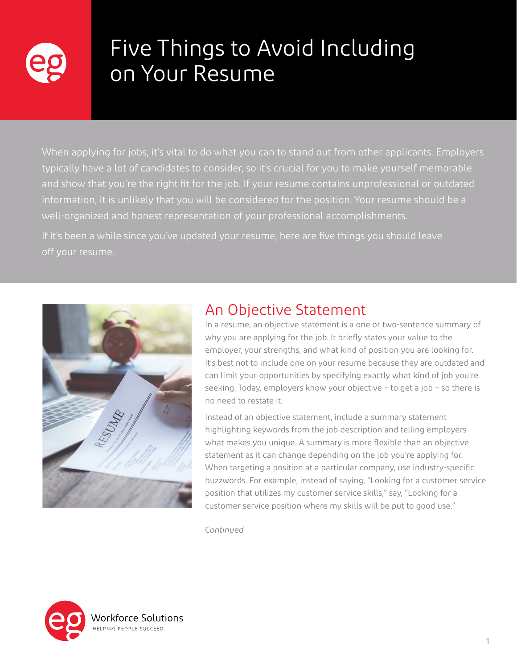

# Five Things to Avoid Including on Your Resume

When applying for jobs, it's vital to do what you can to stand out from other applicants. Employers typically have a lot of candidates to consider, so it's crucial for you to make yourself memorable and show that you're the right fit for the job. If your resume contains unprofessional or outdated information, it is unlikely that you will be considered for the position. Your resume should be a well-organized and honest representation of your professional accomplishments.

If it's been a while since you've updated your resume, here are five things you should leave off your resume.



## An Objective Statement

In a resume, an objective statement is a one or two-sentence summary of why you are applying for the job. It briefly states your value to the employer, your strengths, and what kind of position you are looking for. It's best not to include one on your resume because they are outdated and can limit your opportunities by specifying exactly what kind of job you're seeking. Today, employers know your objective – to get a job – so there is no need to restate it.

Instead of an objective statement, include a summary statement highlighting keywords from the job description and telling employers what makes you unique. A summary is more flexible than an objective statement as it can change depending on the job you're applying for. When targeting a position at a particular company, use industry-specific buzzwords. For example, instead of saying, "Looking for a customer service position that utilizes my customer service skills," say, "Looking for a customer service position where my skills will be put to good use."

*Continued*

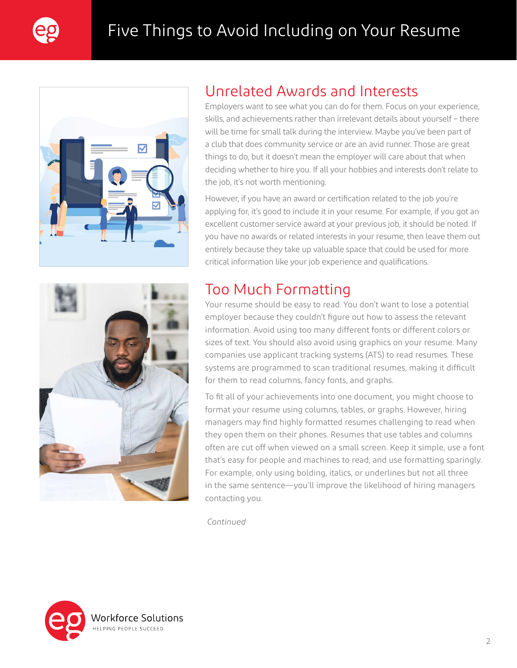



## Unrelated Awards and Interests

Employers want to see what you can do for them. Focus on your experience, skills, and achievements rather than irrelevant details about yourself – there will be time for small talk during the interview. Maybe you've been part of a club that does community service or are an avid runner. Those are great things to do, but it doesn't mean the employer will care about that when deciding whether to hire you. If all your hobbies and interests don't relate to the job, it's not worth mentioning.

However, if you have an award or certification related to the job you're applying for, it's good to include it in your resume. For example, if you got an excellent customer service award at your previous job, it should be noted. If you have no awards or related interests in your resume, then leave them out entirely because they take up valuable space that could be used for more critical information like your job experience and qualifications.



## Too Much Formatting

Your resume should be easy to read. You don't want to lose a potential employer because they couldn't figure out how to assess the relevant information. Avoid using too many different fonts or different colors or sizes of text. You should also avoid using graphics on your resume. Many companies use applicant tracking systems (ATS) to read resumes. These systems are programmed to scan traditional resumes, making it difficult for them to read columns, fancy fonts, and graphs.

To fit all of your achievements into one document, you might choose to format your resume using columns, tables, or graphs. However, hiring managers may find highly formatted resumes challenging to read when they open them on their phones. Resumes that use tables and columns often are cut off when viewed on a small screen. Keep it simple, use a font that's easy for people and machines to read, and use formatting sparingly. For example, only using bolding, italics, or underlines but not all three in the same sentence—you'll improve the likelihood of hiring managers contacting you.

*Continued*